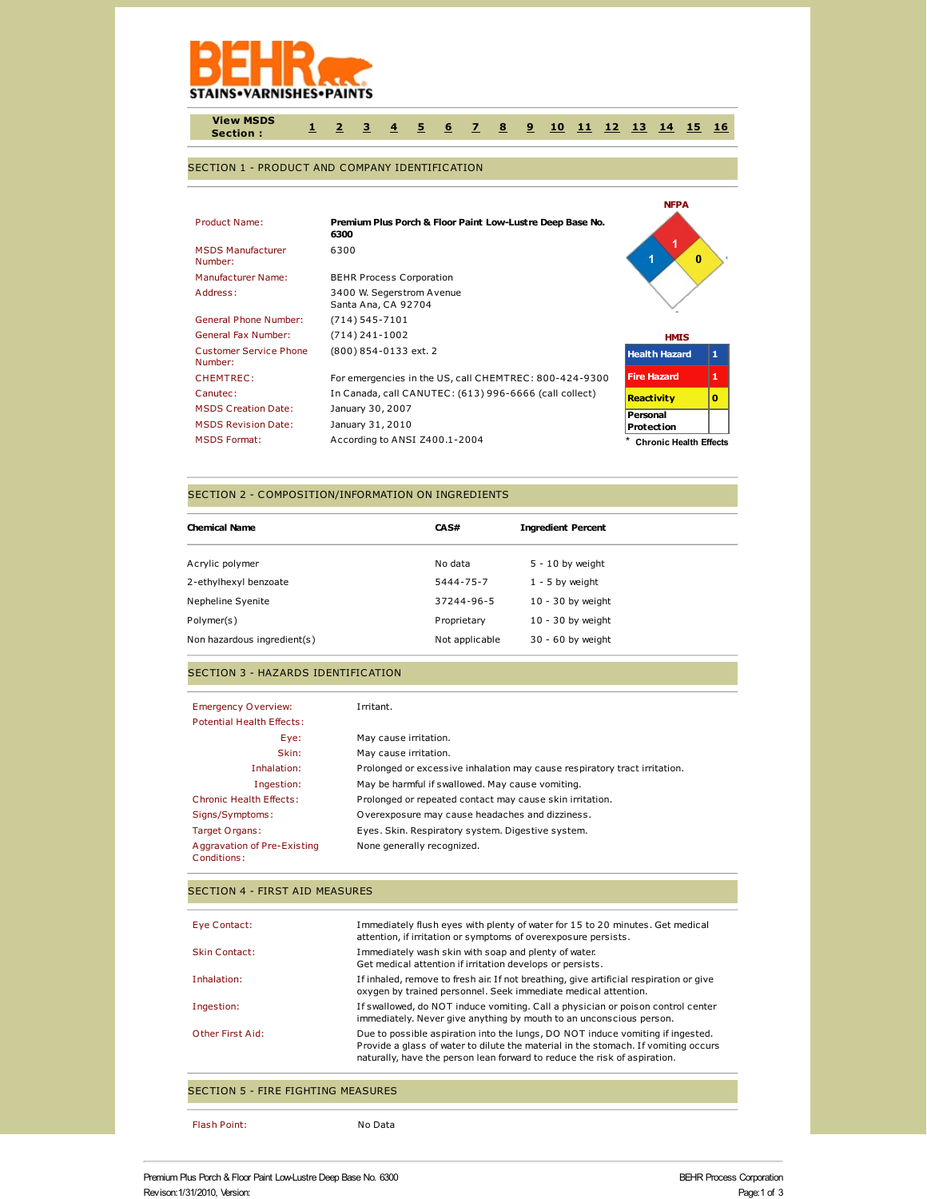

**View MSDS Section : [1](http://www.actiocms.com/view_msds/AuthorDisplay_V402/msdsdisplaycode_author_new_MASTER.cfm?edit_msds_id=4981&dbname=production&language=1&Hide_Section_Numbers=N&CFID=244190&CFTOKEN=37998157b30e4eb3-034CD62C-013F-731E-897F6DEEE3E196F1#section1) [2](http://www.actiocms.com/view_msds/AuthorDisplay_V402/msdsdisplaycode_author_new_MASTER.cfm?edit_msds_id=4981&dbname=production&language=1&Hide_Section_Numbers=N&CFID=244190&CFTOKEN=37998157b30e4eb3-034CD62C-013F-731E-897F6DEEE3E196F1#section2) [3](http://www.actiocms.com/view_msds/AuthorDisplay_V402/msdsdisplaycode_author_new_MASTER.cfm?edit_msds_id=4981&dbname=production&language=1&Hide_Section_Numbers=N&CFID=244190&CFTOKEN=37998157b30e4eb3-034CD62C-013F-731E-897F6DEEE3E196F1#section3) [4](http://www.actiocms.com/view_msds/AuthorDisplay_V402/msdsdisplaycode_author_new_MASTER.cfm?edit_msds_id=4981&dbname=production&language=1&Hide_Section_Numbers=N&CFID=244190&CFTOKEN=37998157b30e4eb3-034CD62C-013F-731E-897F6DEEE3E196F1#section4) [5](http://www.actiocms.com/view_msds/AuthorDisplay_V402/msdsdisplaycode_author_new_MASTER.cfm?edit_msds_id=4981&dbname=production&language=1&Hide_Section_Numbers=N&CFID=244190&CFTOKEN=37998157b30e4eb3-034CD62C-013F-731E-897F6DEEE3E196F1#section5) [6](http://www.actiocms.com/view_msds/AuthorDisplay_V402/msdsdisplaycode_author_new_MASTER.cfm?edit_msds_id=4981&dbname=production&language=1&Hide_Section_Numbers=N&CFID=244190&CFTOKEN=37998157b30e4eb3-034CD62C-013F-731E-897F6DEEE3E196F1#section6) [7](http://www.actiocms.com/view_msds/AuthorDisplay_V402/msdsdisplaycode_author_new_MASTER.cfm?edit_msds_id=4981&dbname=production&language=1&Hide_Section_Numbers=N&CFID=244190&CFTOKEN=37998157b30e4eb3-034CD62C-013F-731E-897F6DEEE3E196F1#section7) [8](http://www.actiocms.com/view_msds/AuthorDisplay_V402/msdsdisplaycode_author_new_MASTER.cfm?edit_msds_id=4981&dbname=production&language=1&Hide_Section_Numbers=N&CFID=244190&CFTOKEN=37998157b30e4eb3-034CD62C-013F-731E-897F6DEEE3E196F1#section8) [9](http://www.actiocms.com/view_msds/AuthorDisplay_V402/msdsdisplaycode_author_new_MASTER.cfm?edit_msds_id=4981&dbname=production&language=1&Hide_Section_Numbers=N&CFID=244190&CFTOKEN=37998157b30e4eb3-034CD62C-013F-731E-897F6DEEE3E196F1#section9) [10](http://www.actiocms.com/view_msds/AuthorDisplay_V402/msdsdisplaycode_author_new_MASTER.cfm?edit_msds_id=4981&dbname=production&language=1&Hide_Section_Numbers=N&CFID=244190&CFTOKEN=37998157b30e4eb3-034CD62C-013F-731E-897F6DEEE3E196F1#section10) [11](http://www.actiocms.com/view_msds/AuthorDisplay_V402/msdsdisplaycode_author_new_MASTER.cfm?edit_msds_id=4981&dbname=production&language=1&Hide_Section_Numbers=N&CFID=244190&CFTOKEN=37998157b30e4eb3-034CD62C-013F-731E-897F6DEEE3E196F1#section11) [12](http://www.actiocms.com/view_msds/AuthorDisplay_V402/msdsdisplaycode_author_new_MASTER.cfm?edit_msds_id=4981&dbname=production&language=1&Hide_Section_Numbers=N&CFID=244190&CFTOKEN=37998157b30e4eb3-034CD62C-013F-731E-897F6DEEE3E196F1#section12) [13](http://www.actiocms.com/view_msds/AuthorDisplay_V402/msdsdisplaycode_author_new_MASTER.cfm?edit_msds_id=4981&dbname=production&language=1&Hide_Section_Numbers=N&CFID=244190&CFTOKEN=37998157b30e4eb3-034CD62C-013F-731E-897F6DEEE3E196F1#section13) [14](http://www.actiocms.com/view_msds/AuthorDisplay_V402/msdsdisplaycode_author_new_MASTER.cfm?edit_msds_id=4981&dbname=production&language=1&Hide_Section_Numbers=N&CFID=244190&CFTOKEN=37998157b30e4eb3-034CD62C-013F-731E-897F6DEEE3E196F1#section14) [15](http://www.actiocms.com/view_msds/AuthorDisplay_V402/msdsdisplaycode_author_new_MASTER.cfm?edit_msds_id=4981&dbname=production&language=1&Hide_Section_Numbers=N&CFID=244190&CFTOKEN=37998157b30e4eb3-034CD62C-013F-731E-897F6DEEE3E196F1#section15) [16](http://www.actiocms.com/view_msds/AuthorDisplay_V402/msdsdisplaycode_author_new_MASTER.cfm?edit_msds_id=4981&dbname=production&language=1&Hide_Section_Numbers=N&CFID=244190&CFTOKEN=37998157b30e4eb3-034CD62C-013F-731E-897F6DEEE3E196F1#section16)**

### SECTION 1 - PRODUCT AND COMPANY IDENTIFICATION

| Product Name:<br><b>MSDS Manufacturer</b><br>Number:<br>Manufacturer Name: | Premium Plus Porch & Floor Paint Low-Lustre Deep Base No.<br>6300<br>6300<br><b>BEHR Process Corporation</b> | <b>NFPA</b><br>$\bf{0}$       |              |
|----------------------------------------------------------------------------|--------------------------------------------------------------------------------------------------------------|-------------------------------|--------------|
| Address:                                                                   | 3400 W. Segerstrom Avenue<br>Santa Ana, CA 92704                                                             |                               |              |
| <b>General Phone Number:</b>                                               | $(714) 545 - 7101$                                                                                           |                               |              |
| General Fax Number:                                                        | $(714)$ 241-1002                                                                                             | <b>HMIS</b>                   |              |
| <b>Customer Service Phone</b><br>Number:                                   | (800) 854-0133 ext. 2                                                                                        | <b>Health Hazard</b>          | $\mathbf{1}$ |
| CHEMTREC:                                                                  | For emergencies in the US, call CHEMTREC: 800-424-9300                                                       | <b>Fire Hazard</b>            | 1            |
| Canutec:                                                                   | In Canada, call CANUTEC: (613) 996-6666 (call collect)                                                       | <b>Reactivity</b>             | $\bf{0}$     |
| <b>MSDS Creation Date:</b>                                                 | January 30, 2007                                                                                             | Personal                      |              |
| <b>MSDS Revision Date:</b>                                                 | January 31, 2010                                                                                             | Protection                    |              |
| <b>MSDS Format:</b>                                                        | According to ANSI Z400.1-2004                                                                                | <b>Chronic Health Effects</b> |              |

#### SECTION 2 - COMPOSITION/INFORMATION ON INGREDIENTS

| <b>Chemical Name</b>        | CAS#           | <b>Ingredient Percent</b> |
|-----------------------------|----------------|---------------------------|
| Acrylic polymer             | No data        | $5 - 10$ by weight        |
| 2-ethylhexyl benzoate       | 5444-75-7      | $1 - 5$ by weight         |
| Nepheline Syenite           | 37244-96-5     | $10 - 30$ by weight       |
| Polymer(s)                  | Proprietary    | $10 - 30$ by weight       |
| Non hazardous ingredient(s) | Not applicable | 30 - 60 by weight         |

## SECTION 3 - HAZARDS IDENTIFICATION

| <b>Emergency Overview:</b>                 | Irritant.                                                                 |
|--------------------------------------------|---------------------------------------------------------------------------|
| <b>Potential Health Effects:</b>           |                                                                           |
| Eye:                                       | May cause irritation.                                                     |
| Skin:                                      | May cause irritation.                                                     |
| Inhalation:                                | Prolonged or excessive inhalation may cause respiratory tract irritation. |
| Ingestion:                                 | May be harmful if swallowed. May cause vomiting.                          |
| Chronic Health Effects:                    | Prolonged or repeated contact may cause skin irritation.                  |
| Signs/Symptoms:                            | Overexposure may cause headaches and dizziness.                           |
| Target Organs:                             | Eyes. Skin. Respiratory system. Digestive system.                         |
| Aggravation of Pre-Existing<br>Conditions: | None generally recognized.                                                |

#### SECTION 4 - FIRST AID MEASURES

| Eye Contact:         | Immediately flush eyes with plenty of water for 15 to 20 minutes. Get medical<br>attention, if irritation or symptoms of overexposure persists.                                                                                                   |
|----------------------|---------------------------------------------------------------------------------------------------------------------------------------------------------------------------------------------------------------------------------------------------|
| <b>Skin Contact:</b> | Immediately wash skin with soap and plenty of water.<br>Get medical attention if irritation develops or persists.                                                                                                                                 |
| Inhalation:          | If inhaled, remove to fresh air. If not breathing, give artificial respiration or give<br>oxygen by trained personnel. Seek immediate medical attention.                                                                                          |
| Ingestion:           | If swallowed, do NOT induce vomiting. Call a physician or poison control center<br>immediately. Never give anything by mouth to an unconscious person.                                                                                            |
| Other First Aid:     | Due to possible aspiration into the lungs, DO NOT induce vomiting if ingested.<br>Provide a glass of water to dilute the material in the stomach. If vomiting occurs<br>naturally, have the person lean forward to reduce the risk of aspiration. |

# SECTION 5 - FIRE FIGHTING MEASURES

Flash Point: No Data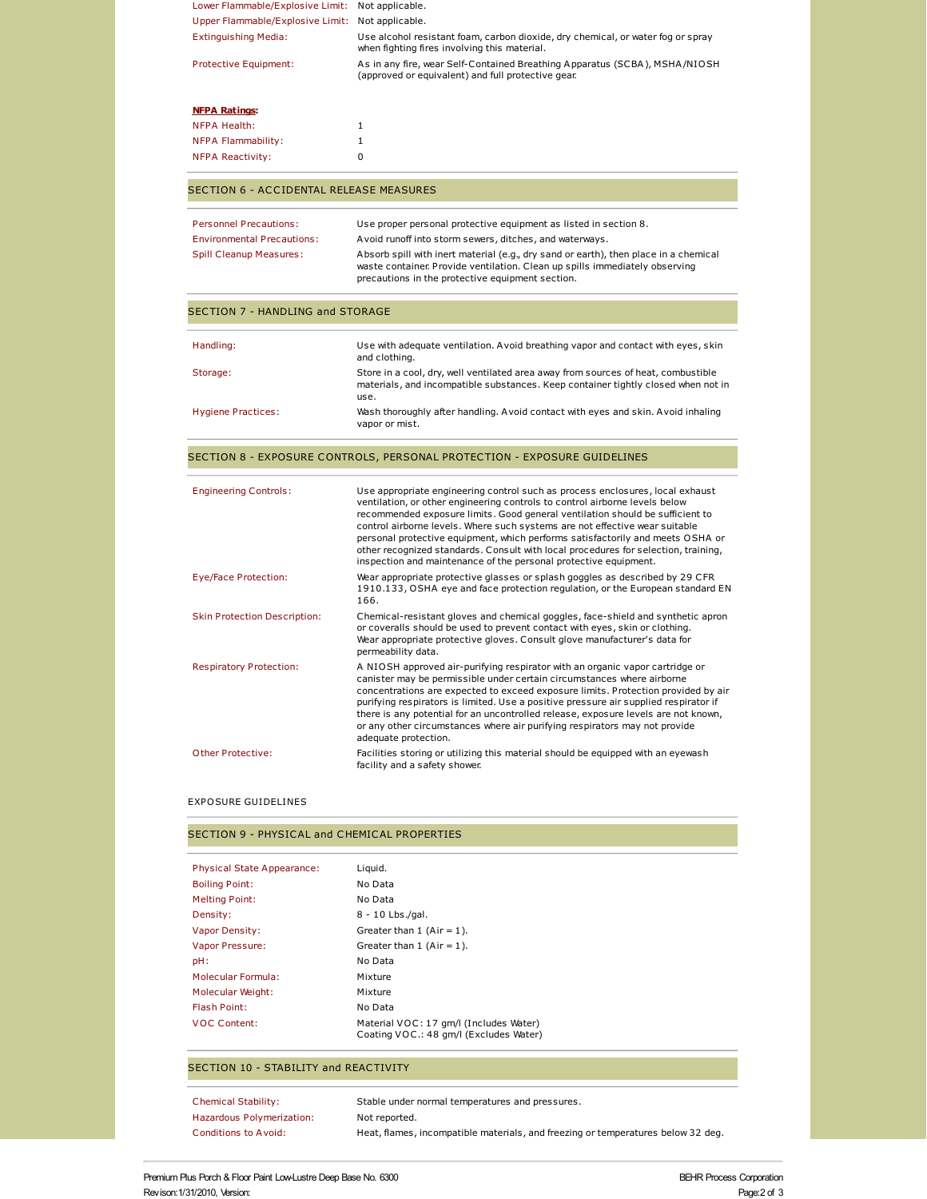| Lower Flammable/Explosive Limit: Not applicable. |                                                                                                                                                                                                                                                                                                                                                                                                                                                                                                                                                                          |
|--------------------------------------------------|--------------------------------------------------------------------------------------------------------------------------------------------------------------------------------------------------------------------------------------------------------------------------------------------------------------------------------------------------------------------------------------------------------------------------------------------------------------------------------------------------------------------------------------------------------------------------|
| Upper Flammable/Explosive Limit: Not applicable. |                                                                                                                                                                                                                                                                                                                                                                                                                                                                                                                                                                          |
| <b>Extinguishing Media:</b>                      | Use alcohol resistant foam, carbon dioxide, dry chemical, or water fog or spray<br>when fighting fires involving this material.                                                                                                                                                                                                                                                                                                                                                                                                                                          |
| Protective Equipment:                            | As in any fire, wear Self-Contained Breathing Apparatus (SCBA), MSHA/NIOSH<br>(approved or equivalent) and full protective gear.                                                                                                                                                                                                                                                                                                                                                                                                                                         |
| <b>NFPA Ratings:</b>                             |                                                                                                                                                                                                                                                                                                                                                                                                                                                                                                                                                                          |
| <b>NFPA Health:</b>                              | 1                                                                                                                                                                                                                                                                                                                                                                                                                                                                                                                                                                        |
| <b>NFPA Flammability:</b>                        | $\mathbf{1}$                                                                                                                                                                                                                                                                                                                                                                                                                                                                                                                                                             |
| <b>NFPA Reactivity:</b>                          | 0                                                                                                                                                                                                                                                                                                                                                                                                                                                                                                                                                                        |
| <b>SECTION 6 - ACCIDENTAL RELEASE MEASURES</b>   |                                                                                                                                                                                                                                                                                                                                                                                                                                                                                                                                                                          |
| <b>Personnel Precautions:</b>                    | Use proper personal protective equipment as listed in section 8.                                                                                                                                                                                                                                                                                                                                                                                                                                                                                                         |
| <b>Environmental Precautions:</b>                | Avoid runoff into storm sewers, ditches, and waterways.                                                                                                                                                                                                                                                                                                                                                                                                                                                                                                                  |
| <b>Spill Cleanup Measures:</b>                   | Absorb spill with inert material (e.g., dry sand or earth), then place in a chemical<br>waste container. Provide ventilation. Clean up spills immediately observing<br>precautions in the protective equipment section.                                                                                                                                                                                                                                                                                                                                                  |
| <b>SECTION 7 - HANDLING and STORAGE</b>          |                                                                                                                                                                                                                                                                                                                                                                                                                                                                                                                                                                          |
| Handling:                                        | Use with adequate ventilation. A void breathing vapor and contact with eyes, skin<br>and clothing.                                                                                                                                                                                                                                                                                                                                                                                                                                                                       |
| Storage:                                         | Store in a cool, dry, well ventilated area away from sources of heat, combustible<br>materials, and incompatible substances. Keep container tightly closed when not in<br>use.                                                                                                                                                                                                                                                                                                                                                                                           |
| <b>Hygiene Practices:</b>                        | Wash thoroughly after handling. A void contact with eyes and skin. A void inhaling<br>vapor or mist.                                                                                                                                                                                                                                                                                                                                                                                                                                                                     |
|                                                  | SECTION 8 - EXPOSURE CONTROLS, PERSONAL PROTECTION - EXPOSURE GUIDELINES                                                                                                                                                                                                                                                                                                                                                                                                                                                                                                 |
| <b>Engineering Controls:</b>                     | Use appropriate engineering control such as process enclosures, local exhaust<br>ventilation, or other engineering controls to control airborne levels below<br>recommended exposure limits. Good general ventilation should be sufficient to<br>control airborne levels. Where such systems are not effective wear suitable<br>personal protective equipment, which performs satisfactorily and meets OSHA or<br>other recognized standards. Consult with local procedures for selection, training,<br>inspection and maintenance of the personal protective equipment. |
| Eye/Face Protection:                             | Wear appropriate protective glasses or splash goggles as described by 29 CFR<br>1910.133, OSHA eye and face protection regulation, or the European standard EN<br>166.                                                                                                                                                                                                                                                                                                                                                                                                   |
| <b>Skin Protection Description:</b>              | Chemical-resistant gloves and chemical goggles, face-shield and synthetic apron<br>or coveralls should be used to prevent contact with eyes, skin or clothing.<br>Wear appropriate protective gloves. Consult glove manufacturer's data for<br>permeability data.                                                                                                                                                                                                                                                                                                        |
| <b>Respiratory Protection:</b>                   | A NIOSH approved air-purifying respirator with an organic vapor cartridge or<br>canister may be permissible under certain circumstances where airborne<br>concentrations are expected to exceed exposure limits. Protection provided by air<br>purifying respirators is limited. Use a positive pressure air supplied respirator if<br>there is any potential for an uncontrolled release, exposure levels are not known,<br>or any other circumstances where air purifying respirators may not provide<br>adequate protection.                                          |
| Other Protective:                                | Facilities storing or utilizing this material should be equipped with an eyewash<br>facility and a safety shower.                                                                                                                                                                                                                                                                                                                                                                                                                                                        |
|                                                  |                                                                                                                                                                                                                                                                                                                                                                                                                                                                                                                                                                          |

# SECTION 9 - PHYSICAL and CHEMICAL PROPERTIES

| <b>Physical State Appearance:</b> | Liquid.                                                                          |
|-----------------------------------|----------------------------------------------------------------------------------|
| <b>Boiling Point:</b>             | No Data                                                                          |
| <b>Melting Point:</b>             | No Data                                                                          |
| Density:                          | 8 - 10 Lbs./gal.                                                                 |
| <b>Vapor Density:</b>             | Greater than $1$ (Air = 1).                                                      |
| Vapor Pressure:                   | Greater than $1$ (Air = 1).                                                      |
| pH:                               | No Data                                                                          |
| Molecular Formula:                | Mixture                                                                          |
| Molecular Weight:                 | Mixture                                                                          |
| <b>Flash Point:</b>               | No Data                                                                          |
| <b>VOC Content:</b>               | Material VOC: 17 gm/l (Includes Water)<br>Coating VOC.: 48 gm/l (Excludes Water) |

## SECTION 10 - STABILITY and REACTIVITY

| <b>Chemical Stability:</b> | Stable under normal temperatures and pressures.                                  |
|----------------------------|----------------------------------------------------------------------------------|
| Hazardous Polymerization:  | Not reported.                                                                    |
| Conditions to Avoid:       | Heat, flames, incompatible materials, and freezing or temperatures below 32 deg. |